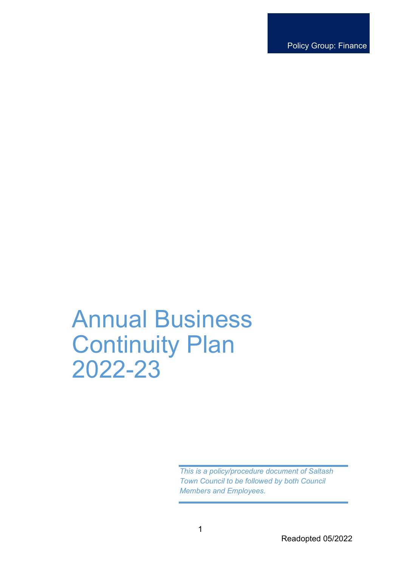Policy Group: Finance

# Annual Business Continuity Plan 2022-23

*This is a policy/procedure document of Saltash Town Council to be followed by both Council Members and Employees.*

1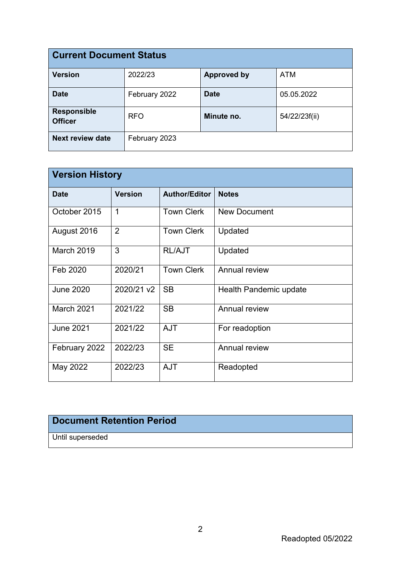| <b>Current Document Status</b>       |               |                    |               |  |  |  |  |  |
|--------------------------------------|---------------|--------------------|---------------|--|--|--|--|--|
| <b>Version</b>                       | 2022/23       | <b>Approved by</b> | <b>ATM</b>    |  |  |  |  |  |
| <b>Date</b>                          | February 2022 | <b>Date</b>        | 05.05.2022    |  |  |  |  |  |
| <b>Responsible</b><br><b>Officer</b> | <b>RFO</b>    | Minute no.         | 54/22/23f(ii) |  |  |  |  |  |
| <b>Next review date</b>              | February 2023 |                    |               |  |  |  |  |  |

| <b>Version History</b> |                |                      |                        |  |  |  |  |
|------------------------|----------------|----------------------|------------------------|--|--|--|--|
| <b>Date</b>            | <b>Version</b> | <b>Author/Editor</b> | <b>Notes</b>           |  |  |  |  |
| October 2015           | 1              | <b>Town Clerk</b>    | <b>New Document</b>    |  |  |  |  |
| August 2016            | $\overline{2}$ | <b>Town Clerk</b>    | Updated                |  |  |  |  |
| March 2019             | 3              | <b>RL/AJT</b>        | Updated                |  |  |  |  |
| Feb 2020               | 2020/21        | <b>Town Clerk</b>    | Annual review          |  |  |  |  |
| <b>June 2020</b>       | 2020/21 v2     | <b>SB</b>            | Health Pandemic update |  |  |  |  |
| March 2021             | 2021/22        | <b>SB</b>            | Annual review          |  |  |  |  |
| <b>June 2021</b>       | 2021/22        | <b>AJT</b>           | For readoption         |  |  |  |  |
| February 2022          | 2022/23        | <b>SE</b>            | Annual review          |  |  |  |  |
| May 2022               | 2022/23        | <b>AJT</b>           | Readopted              |  |  |  |  |

### **Document Retention Period**

Until superseded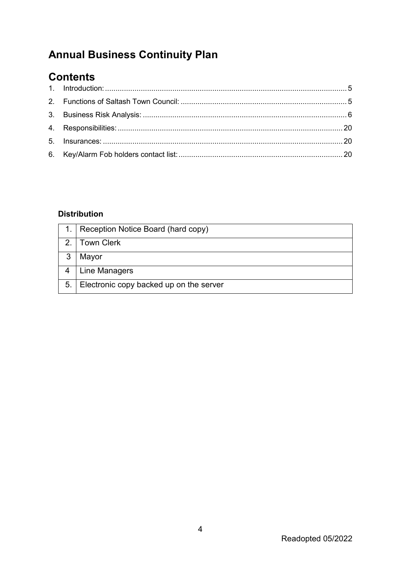# **Annual Business Continuity Plan**

## **Contents**

#### **Distribution**

|   | Reception Notice Board (hard copy)         |
|---|--------------------------------------------|
|   | <b>Town Clerk</b>                          |
| 3 | Mayor                                      |
|   | Line Managers                              |
|   | 5. Electronic copy backed up on the server |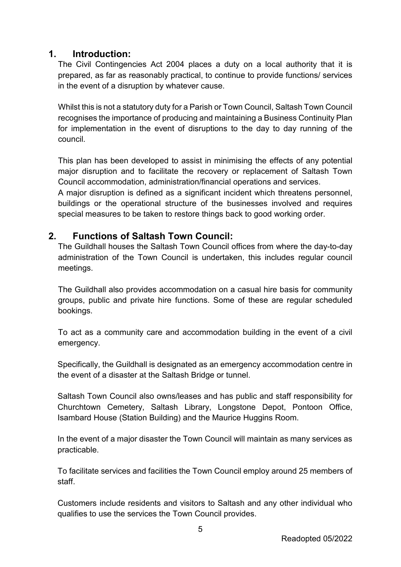#### <span id="page-4-0"></span>**1. Introduction:**

The Civil Contingencies Act 2004 places a duty on a local authority that it is prepared, as far as reasonably practical, to continue to provide functions/ services in the event of a disruption by whatever cause.

Whilst this is not a statutory duty for a Parish or Town Council, Saltash Town Council recognises the importance of producing and maintaining a Business Continuity Plan for implementation in the event of disruptions to the day to day running of the council.

This plan has been developed to assist in minimising the effects of any potential major disruption and to facilitate the recovery or replacement of Saltash Town Council accommodation, administration/financial operations and services.

A major disruption is defined as a significant incident which threatens personnel, buildings or the operational structure of the businesses involved and requires special measures to be taken to restore things back to good working order.

#### <span id="page-4-1"></span>**2. Functions of Saltash Town Council:**

The Guildhall houses the Saltash Town Council offices from where the day-to-day administration of the Town Council is undertaken, this includes regular council meetings.

The Guildhall also provides accommodation on a casual hire basis for community groups, public and private hire functions. Some of these are regular scheduled bookings.

To act as a community care and accommodation building in the event of a civil emergency.

Specifically, the Guildhall is designated as an emergency accommodation centre in the event of a disaster at the Saltash Bridge or tunnel.

Saltash Town Council also owns/leases and has public and staff responsibility for Churchtown Cemetery, Saltash Library, Longstone Depot, Pontoon Office, Isambard House (Station Building) and the Maurice Huggins Room.

In the event of a major disaster the Town Council will maintain as many services as practicable.

To facilitate services and facilities the Town Council employ around 25 members of staff.

Customers include residents and visitors to Saltash and any other individual who qualifies to use the services the Town Council provides.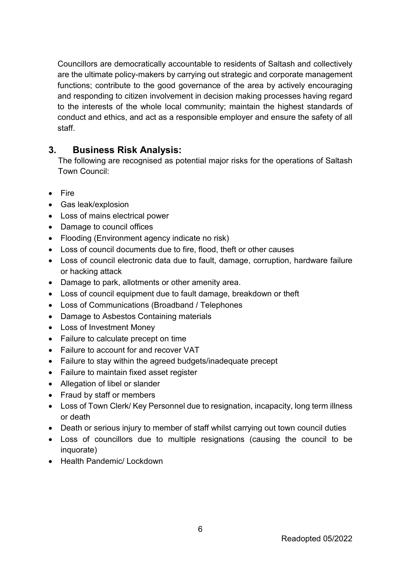Councillors are democratically accountable to residents of Saltash and collectively are the ultimate policy-makers by carrying out strategic and corporate management functions; contribute to the good governance of the area by actively encouraging and responding to citizen involvement in decision making processes having regard to the interests of the whole local community; maintain the highest standards of conduct and ethics, and act as a responsible employer and ensure the safety of all staff.

#### <span id="page-5-0"></span>**3. Business Risk Analysis:**

The following are recognised as potential major risks for the operations of Saltash Town Council:

- Fire
- Gas leak/explosion
- Loss of mains electrical power
- Damage to council offices
- Flooding (Environment agency indicate no risk)
- Loss of council documents due to fire, flood, theft or other causes
- Loss of council electronic data due to fault, damage, corruption, hardware failure or hacking attack
- Damage to park, allotments or other amenity area.
- Loss of council equipment due to fault damage, breakdown or theft
- Loss of Communications (Broadband / Telephones
- Damage to Asbestos Containing materials
- Loss of Investment Money
- Failure to calculate precept on time
- Failure to account for and recover VAT
- Failure to stay within the agreed budgets/inadequate precept
- Failure to maintain fixed asset register
- Allegation of libel or slander
- Fraud by staff or members
- Loss of Town Clerk/ Key Personnel due to resignation, incapacity, long term illness or death
- Death or serious injury to member of staff whilst carrying out town council duties
- Loss of councillors due to multiple resignations (causing the council to be inquorate)
- Health Pandemic/ Lockdown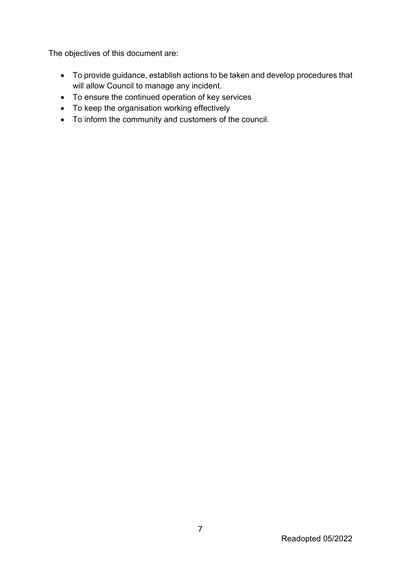The objectives of this document are:

- To provide guidance, establish actions to be taken and develop procedures that will allow Council to manage any incident.
- To ensure the continued operation of key services
- To keep the organisation working effectively
- To inform the community and customers of the council.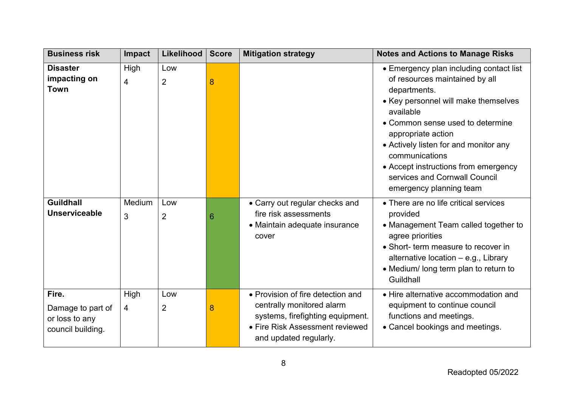| <b>Business risk</b>                                              | Impact                 | Likelihood            | <b>Score</b> | <b>Mitigation strategy</b>                                                                                                                                      | <b>Notes and Actions to Manage Risks</b>                                                                                                                                                                                                                                                                                                                                |
|-------------------------------------------------------------------|------------------------|-----------------------|--------------|-----------------------------------------------------------------------------------------------------------------------------------------------------------------|-------------------------------------------------------------------------------------------------------------------------------------------------------------------------------------------------------------------------------------------------------------------------------------------------------------------------------------------------------------------------|
| <b>Disaster</b><br>impacting on<br><b>Town</b>                    | High<br>$\overline{4}$ | Low<br>$\overline{2}$ | 8            |                                                                                                                                                                 | • Emergency plan including contact list<br>of resources maintained by all<br>departments.<br>• Key personnel will make themselves<br>available<br>• Common sense used to determine<br>appropriate action<br>• Actively listen for and monitor any<br>communications<br>• Accept instructions from emergency<br>services and Cornwall Council<br>emergency planning team |
| <b>Guildhall</b><br><b>Unserviceable</b>                          | Medium<br>3            | Low<br>$\overline{2}$ | 6            | • Carry out regular checks and<br>fire risk assessments<br>• Maintain adequate insurance<br>cover                                                               | • There are no life critical services<br>provided<br>• Management Team called together to<br>agree priorities<br>• Short- term measure to recover in<br>alternative location - e.g., Library<br>• Medium/ long term plan to return to<br>Guildhall                                                                                                                      |
| Fire.<br>Damage to part of<br>or loss to any<br>council building. | High<br>4              | Low<br>$\overline{2}$ | 8            | • Provision of fire detection and<br>centrally monitored alarm<br>systems, firefighting equipment.<br>• Fire Risk Assessment reviewed<br>and updated regularly. | • Hire alternative accommodation and<br>equipment to continue council<br>functions and meetings.<br>• Cancel bookings and meetings.                                                                                                                                                                                                                                     |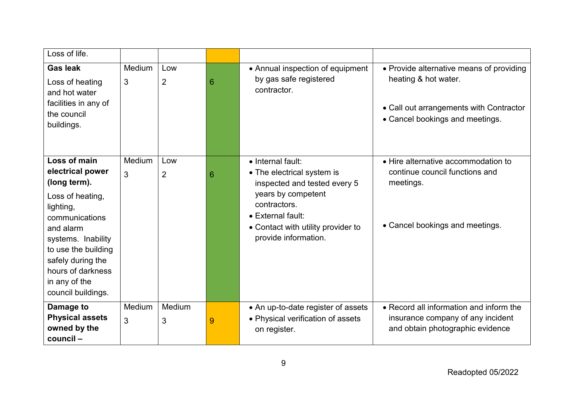| Loss of life.                                                                                                                                                                                                                                  |             |                       |   |                                                                                                                                                                                                          |                                                                                                                                                |
|------------------------------------------------------------------------------------------------------------------------------------------------------------------------------------------------------------------------------------------------|-------------|-----------------------|---|----------------------------------------------------------------------------------------------------------------------------------------------------------------------------------------------------------|------------------------------------------------------------------------------------------------------------------------------------------------|
| <b>Gas leak</b><br>Loss of heating<br>and hot water<br>facilities in any of<br>the council<br>buildings.                                                                                                                                       | Medium<br>3 | Low<br>$\overline{2}$ | 6 | • Annual inspection of equipment<br>by gas safe registered<br>contractor.                                                                                                                                | • Provide alternative means of providing<br>heating & hot water.<br>• Call out arrangements with Contractor<br>• Cancel bookings and meetings. |
| Loss of main<br>electrical power<br>(long term).<br>Loss of heating,<br>lighting,<br>communications<br>and alarm<br>systems. Inability<br>to use the building<br>safely during the<br>hours of darkness<br>in any of the<br>council buildings. | Medium<br>3 | Low<br>$\overline{2}$ | 6 | • Internal fault:<br>• The electrical system is<br>inspected and tested every 5<br>years by competent<br>contractors.<br>• External fault:<br>• Contact with utility provider to<br>provide information. | • Hire alternative accommodation to<br>continue council functions and<br>meetings.<br>• Cancel bookings and meetings.                          |
| Damage to<br><b>Physical assets</b><br>owned by the<br>council-                                                                                                                                                                                | Medium<br>3 | Medium<br>3           | 9 | • An up-to-date register of assets<br>• Physical verification of assets<br>on register.                                                                                                                  | • Record all information and inform the<br>insurance company of any incident<br>and obtain photographic evidence                               |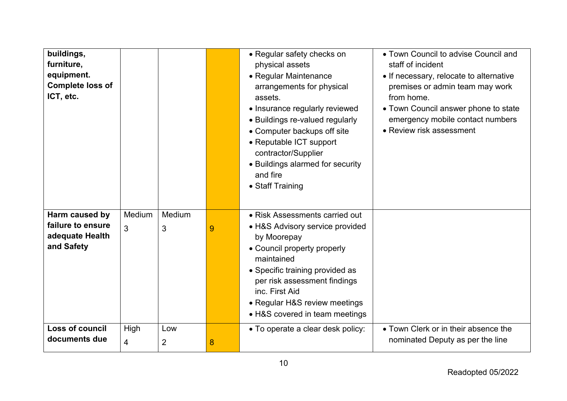| buildings,<br>furniture,<br>equipment.<br><b>Complete loss of</b><br>ICT, etc. |                        |             |   | • Regular safety checks on<br>physical assets<br>• Regular Maintenance<br>arrangements for physical<br>assets.<br>• Insurance regularly reviewed<br>• Buildings re-valued regularly<br>• Computer backups off site<br>• Reputable ICT support<br>contractor/Supplier<br>• Buildings alarmed for security<br>and fire<br>• Staff Training | • Town Council to advise Council and<br>staff of incident<br>• If necessary, relocate to alternative<br>premises or admin team may work<br>from home.<br>• Town Council answer phone to state<br>emergency mobile contact numbers<br>• Review risk assessment |
|--------------------------------------------------------------------------------|------------------------|-------------|---|------------------------------------------------------------------------------------------------------------------------------------------------------------------------------------------------------------------------------------------------------------------------------------------------------------------------------------------|---------------------------------------------------------------------------------------------------------------------------------------------------------------------------------------------------------------------------------------------------------------|
| Harm caused by<br>failure to ensure<br>adequate Health<br>and Safety           | Medium<br>3            | Medium<br>3 | 9 | • Risk Assessments carried out<br>• H&S Advisory service provided<br>by Moorepay<br>• Council property properly<br>maintained<br>• Specific training provided as<br>per risk assessment findings<br>inc. First Aid<br>• Regular H&S review meetings<br>• H&S covered in team meetings                                                    |                                                                                                                                                                                                                                                               |
| Loss of council<br>documents due                                               | High<br>$\overline{4}$ | Low<br>2    | 8 | • To operate a clear desk policy:                                                                                                                                                                                                                                                                                                        | • Town Clerk or in their absence the<br>nominated Deputy as per the line                                                                                                                                                                                      |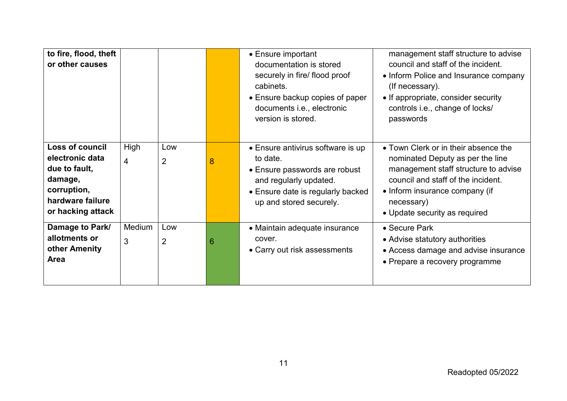| to fire, flood, theft<br>or other causes                                                                               |                        |                       |   | • Ensure important<br>documentation is stored<br>securely in fire/ flood proof<br>cabinets.<br>• Ensure backup copies of paper<br>documents i.e., electronic<br>version is stored. | management staff structure to advise<br>council and staff of the incident.<br>• Inform Police and Insurance company<br>(If necessary).<br>• If appropriate, consider security<br>controls i.e., change of locks/<br>passwords           |
|------------------------------------------------------------------------------------------------------------------------|------------------------|-----------------------|---|------------------------------------------------------------------------------------------------------------------------------------------------------------------------------------|-----------------------------------------------------------------------------------------------------------------------------------------------------------------------------------------------------------------------------------------|
| Loss of council<br>electronic data<br>due to fault,<br>damage,<br>corruption,<br>hardware failure<br>or hacking attack | High<br>$\overline{4}$ | Low<br>2              | 8 | • Ensure antivirus software is up<br>to date.<br>• Ensure passwords are robust<br>and regularly updated.<br>• Ensure date is regularly backed<br>up and stored securely.           | • Town Clerk or in their absence the<br>nominated Deputy as per the line<br>management staff structure to advise<br>council and staff of the incident.<br>• Inform insurance company (if<br>necessary)<br>• Update security as required |
| Damage to Park/<br>allotments or<br>other Amenity<br>Area                                                              | Medium<br>3            | Low<br>$\overline{2}$ | 6 | • Maintain adequate insurance<br>cover.<br>• Carry out risk assessments                                                                                                            | • Secure Park<br>• Advise statutory authorities<br>• Access damage and advise insurance<br>• Prepare a recovery programme                                                                                                               |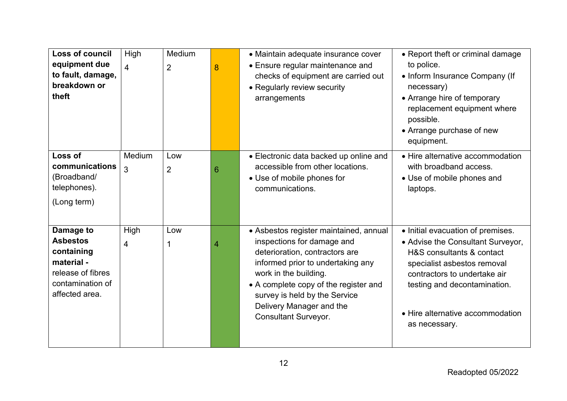| <b>Loss of council</b><br>equipment due<br>to fault, damage,<br>breakdown or<br>theft                               | High<br>$\overline{4}$ | Medium<br>$\overline{2}$ | 8 | • Maintain adequate insurance cover<br>• Ensure regular maintenance and<br>checks of equipment are carried out<br>• Regularly review security<br>arrangements                                                                                                                                             | • Report theft or criminal damage<br>to police.<br>• Inform Insurance Company (If<br>necessary)<br>• Arrange hire of temporary<br>replacement equipment where<br>possible.<br>• Arrange purchase of new<br>equipment.                                   |
|---------------------------------------------------------------------------------------------------------------------|------------------------|--------------------------|---|-----------------------------------------------------------------------------------------------------------------------------------------------------------------------------------------------------------------------------------------------------------------------------------------------------------|---------------------------------------------------------------------------------------------------------------------------------------------------------------------------------------------------------------------------------------------------------|
| Loss of<br>communications<br>(Broadband/<br>telephones).<br>(Long term)                                             | Medium<br>3            | Low<br>$\overline{2}$    | 6 | • Electronic data backed up online and<br>accessible from other locations.<br>• Use of mobile phones for<br>communications.                                                                                                                                                                               | • Hire alternative accommodation<br>with broadband access.<br>• Use of mobile phones and<br>laptops.                                                                                                                                                    |
| Damage to<br><b>Asbestos</b><br>containing<br>material -<br>release of fibres<br>contamination of<br>affected area. | High<br>4              | Low                      | 4 | • Asbestos register maintained, annual<br>inspections for damage and<br>deterioration, contractors are<br>informed prior to undertaking any<br>work in the building.<br>• A complete copy of the register and<br>survey is held by the Service<br>Delivery Manager and the<br><b>Consultant Surveyor.</b> | • Initial evacuation of premises.<br>• Advise the Consultant Surveyor,<br>H&S consultants & contact<br>specialist asbestos removal<br>contractors to undertake air<br>testing and decontamination.<br>• Hire alternative accommodation<br>as necessary. |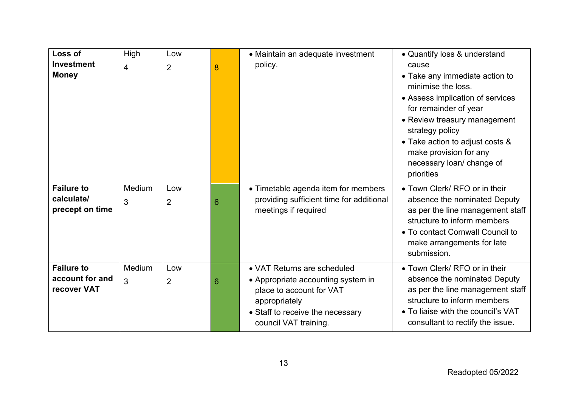| Loss of<br><b>Investment</b><br><b>Money</b>        | High<br>4   | Low<br>$\overline{2}$ | 8 | • Maintain an adequate investment<br>policy.                                                                                                                                | • Quantify loss & understand<br>cause<br>• Take any immediate action to<br>minimise the loss.<br>• Assess implication of services<br>for remainder of year                                                        |
|-----------------------------------------------------|-------------|-----------------------|---|-----------------------------------------------------------------------------------------------------------------------------------------------------------------------------|-------------------------------------------------------------------------------------------------------------------------------------------------------------------------------------------------------------------|
|                                                     |             |                       |   |                                                                                                                                                                             | • Review treasury management<br>strategy policy<br>• Take action to adjust costs &<br>make provision for any<br>necessary loan/ change of<br>priorities                                                           |
| <b>Failure to</b><br>calculate/<br>precept on time  | Medium<br>3 | Low<br>$\overline{2}$ | 6 | • Timetable agenda item for members<br>providing sufficient time for additional<br>meetings if required                                                                     | • Town Clerk/ RFO or in their<br>absence the nominated Deputy<br>as per the line management staff<br>structure to inform members<br>• To contact Cornwall Council to<br>make arrangements for late<br>submission. |
| <b>Failure to</b><br>account for and<br>recover VAT | Medium<br>3 | Low<br>$\overline{2}$ | 6 | • VAT Returns are scheduled<br>• Appropriate accounting system in<br>place to account for VAT<br>appropriately<br>• Staff to receive the necessary<br>council VAT training. | • Town Clerk/ RFO or in their<br>absence the nominated Deputy<br>as per the line management staff<br>structure to inform members<br>• To liaise with the council's VAT<br>consultant to rectify the issue.        |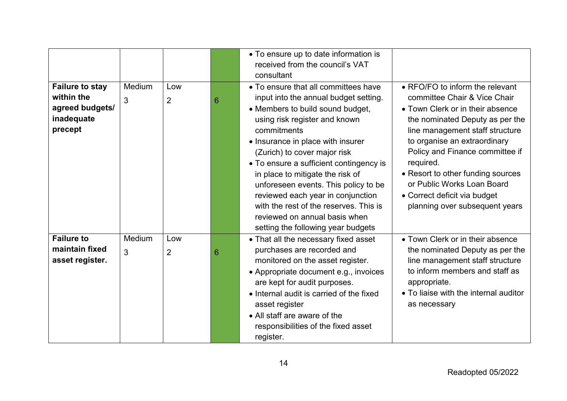|                                                                                  |             |                       |   | • To ensure up to date information is<br>received from the council's VAT<br>consultant                                                                                                                                                                                                                                                                                                                                                                                                                              |                                                                                                                                                                                                                                                                                                                                                                                                |
|----------------------------------------------------------------------------------|-------------|-----------------------|---|---------------------------------------------------------------------------------------------------------------------------------------------------------------------------------------------------------------------------------------------------------------------------------------------------------------------------------------------------------------------------------------------------------------------------------------------------------------------------------------------------------------------|------------------------------------------------------------------------------------------------------------------------------------------------------------------------------------------------------------------------------------------------------------------------------------------------------------------------------------------------------------------------------------------------|
| <b>Failure to stay</b><br>within the<br>agreed budgets/<br>inadequate<br>precept | Medium<br>3 | Low<br>$\overline{2}$ | 6 | • To ensure that all committees have<br>input into the annual budget setting.<br>• Members to build sound budget,<br>using risk register and known<br>commitments<br>• Insurance in place with insurer<br>(Zurich) to cover major risk<br>• To ensure a sufficient contingency is<br>in place to mitigate the risk of<br>unforeseen events. This policy to be<br>reviewed each year in conjunction<br>with the rest of the reserves. This is<br>reviewed on annual basis when<br>setting the following year budgets | • RFO/FO to inform the relevant<br>committee Chair & Vice Chair<br>• Town Clerk or in their absence<br>the nominated Deputy as per the<br>line management staff structure<br>to organise an extraordinary<br>Policy and Finance committee if<br>required.<br>• Resort to other funding sources<br>or Public Works Loan Board<br>• Correct deficit via budget<br>planning over subsequent years |
| <b>Failure to</b><br>maintain fixed<br>asset register.                           | Medium<br>3 | Low<br>$\overline{2}$ | 6 | • That all the necessary fixed asset<br>purchases are recorded and<br>monitored on the asset register.<br>• Appropriate document e.g., invoices<br>are kept for audit purposes.<br>• Internal audit is carried of the fixed<br>asset register<br>• All staff are aware of the<br>responsibilities of the fixed asset<br>register.                                                                                                                                                                                   | • Town Clerk or in their absence<br>the nominated Deputy as per the<br>line management staff structure<br>to inform members and staff as<br>appropriate.<br>• To liaise with the internal auditor<br>as necessary                                                                                                                                                                              |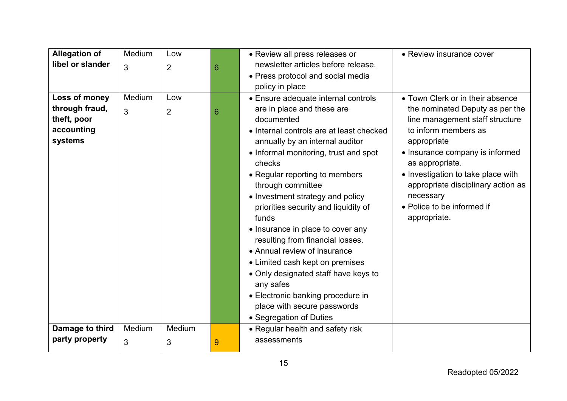| <b>Allegation of</b>                                                    | Medium      | Low                   |   | • Review all press releases or                                                                                                                                                                                                                                                                                                                                                                                                                                                                                                                                 | • Review insurance cover                                                                                                                                                                                                                                                                                                                   |
|-------------------------------------------------------------------------|-------------|-----------------------|---|----------------------------------------------------------------------------------------------------------------------------------------------------------------------------------------------------------------------------------------------------------------------------------------------------------------------------------------------------------------------------------------------------------------------------------------------------------------------------------------------------------------------------------------------------------------|--------------------------------------------------------------------------------------------------------------------------------------------------------------------------------------------------------------------------------------------------------------------------------------------------------------------------------------------|
| libel or slander                                                        | 3           | $\overline{2}$        | 6 | newsletter articles before release.                                                                                                                                                                                                                                                                                                                                                                                                                                                                                                                            |                                                                                                                                                                                                                                                                                                                                            |
|                                                                         |             |                       |   | • Press protocol and social media                                                                                                                                                                                                                                                                                                                                                                                                                                                                                                                              |                                                                                                                                                                                                                                                                                                                                            |
|                                                                         |             |                       |   | policy in place                                                                                                                                                                                                                                                                                                                                                                                                                                                                                                                                                |                                                                                                                                                                                                                                                                                                                                            |
| Loss of money<br>through fraud,<br>theft, poor<br>accounting<br>systems | Medium<br>3 | Low<br>$\overline{2}$ | 6 | • Ensure adequate internal controls<br>are in place and these are<br>documented<br>• Internal controls are at least checked<br>annually by an internal auditor<br>• Informal monitoring, trust and spot<br>checks<br>• Regular reporting to members<br>through committee<br>• Investment strategy and policy<br>priorities security and liquidity of<br>funds<br>• Insurance in place to cover any<br>resulting from financial losses.<br>• Annual review of insurance<br>• Limited cash kept on premises<br>• Only designated staff have keys to<br>any safes | • Town Clerk or in their absence<br>the nominated Deputy as per the<br>line management staff structure<br>to inform members as<br>appropriate<br>• Insurance company is informed<br>as appropriate.<br>• Investigation to take place with<br>appropriate disciplinary action as<br>necessary<br>• Police to be informed if<br>appropriate. |
|                                                                         |             |                       |   | • Electronic banking procedure in<br>place with secure passwords                                                                                                                                                                                                                                                                                                                                                                                                                                                                                               |                                                                                                                                                                                                                                                                                                                                            |
|                                                                         |             |                       |   | • Segregation of Duties                                                                                                                                                                                                                                                                                                                                                                                                                                                                                                                                        |                                                                                                                                                                                                                                                                                                                                            |
| Damage to third                                                         | Medium      | Medium                |   | • Regular health and safety risk                                                                                                                                                                                                                                                                                                                                                                                                                                                                                                                               |                                                                                                                                                                                                                                                                                                                                            |
| party property                                                          | 3           | 3                     | 9 | assessments                                                                                                                                                                                                                                                                                                                                                                                                                                                                                                                                                    |                                                                                                                                                                                                                                                                                                                                            |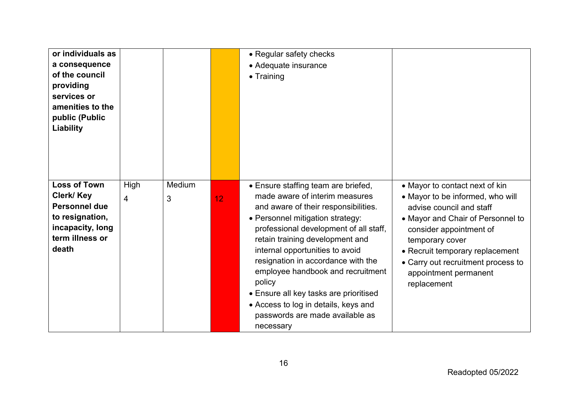| or individuals as<br>a consequence<br>of the council<br>providing<br>services or<br>amenities to the<br>public (Public<br>Liability |           |             |    | • Regular safety checks<br>• Adequate insurance<br>$\bullet$ Training                                                                                                                                                                                                                                                                                                                                                                                                                    |                                                                                                                                                                                                                                                                                                    |
|-------------------------------------------------------------------------------------------------------------------------------------|-----------|-------------|----|------------------------------------------------------------------------------------------------------------------------------------------------------------------------------------------------------------------------------------------------------------------------------------------------------------------------------------------------------------------------------------------------------------------------------------------------------------------------------------------|----------------------------------------------------------------------------------------------------------------------------------------------------------------------------------------------------------------------------------------------------------------------------------------------------|
| <b>Loss of Town</b><br>Clerk/ Key<br><b>Personnel due</b><br>to resignation,<br>incapacity, long<br>term illness or<br>death        | High<br>4 | Medium<br>3 | 12 | • Ensure staffing team are briefed,<br>made aware of interim measures<br>and aware of their responsibilities.<br>• Personnel mitigation strategy:<br>professional development of all staff,<br>retain training development and<br>internal opportunities to avoid<br>resignation in accordance with the<br>employee handbook and recruitment<br>policy<br>• Ensure all key tasks are prioritised<br>• Access to log in details, keys and<br>passwords are made available as<br>necessary | • Mayor to contact next of kin<br>• Mayor to be informed, who will<br>advise council and staff<br>• Mayor and Chair of Personnel to<br>consider appointment of<br>temporary cover<br>• Recruit temporary replacement<br>• Carry out recruitment process to<br>appointment permanent<br>replacement |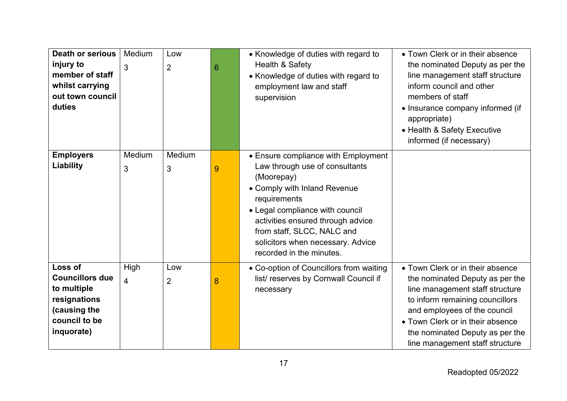| <b>Death or serious</b><br>injury to<br>member of staff<br>whilst carrying<br>out town council<br>duties        | Medium<br>3 | Low<br>$\overline{2}$ | 6 | • Knowledge of duties with regard to<br>Health & Safety<br>• Knowledge of duties with regard to<br>employment law and staff<br>supervision                                                                                                                                                                 | • Town Clerk or in their absence<br>the nominated Deputy as per the<br>line management staff structure<br>inform council and other<br>members of staff<br>• Insurance company informed (if<br>appropriate)<br>• Health & Safety Executive<br>informed (if necessary)                |
|-----------------------------------------------------------------------------------------------------------------|-------------|-----------------------|---|------------------------------------------------------------------------------------------------------------------------------------------------------------------------------------------------------------------------------------------------------------------------------------------------------------|-------------------------------------------------------------------------------------------------------------------------------------------------------------------------------------------------------------------------------------------------------------------------------------|
| <b>Employers</b><br>Liability                                                                                   | Medium<br>3 | Medium<br>3           | 9 | • Ensure compliance with Employment<br>Law through use of consultants<br>(Moorepay)<br>• Comply with Inland Revenue<br>requirements<br>• Legal compliance with council<br>activities ensured through advice<br>from staff, SLCC, NALC and<br>solicitors when necessary. Advice<br>recorded in the minutes. |                                                                                                                                                                                                                                                                                     |
| Loss of<br><b>Councillors due</b><br>to multiple<br>resignations<br>(causing the<br>council to be<br>inquorate) | High<br>4   | Low<br>$\overline{2}$ | 8 | • Co-option of Councillors from waiting<br>list/reserves by Cornwall Council if<br>necessary                                                                                                                                                                                                               | • Town Clerk or in their absence<br>the nominated Deputy as per the<br>line management staff structure<br>to inform remaining councillors<br>and employees of the council<br>• Town Clerk or in their absence<br>the nominated Deputy as per the<br>line management staff structure |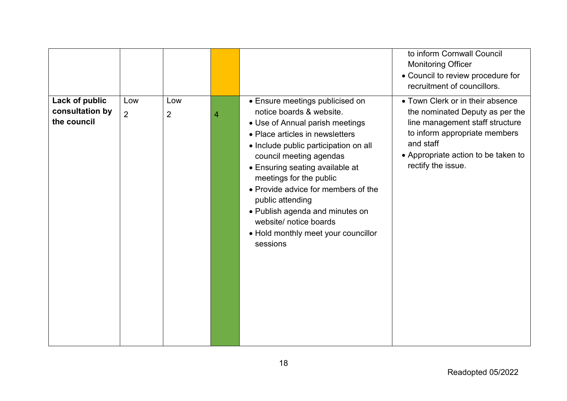|                                                  |                       |                       |   |                                                                                                                                                                                                                                                                                                                                                                                                                                                | to inform Cornwall Council<br><b>Monitoring Officer</b><br>• Council to review procedure for<br>recruitment of councillors.                                                                                       |
|--------------------------------------------------|-----------------------|-----------------------|---|------------------------------------------------------------------------------------------------------------------------------------------------------------------------------------------------------------------------------------------------------------------------------------------------------------------------------------------------------------------------------------------------------------------------------------------------|-------------------------------------------------------------------------------------------------------------------------------------------------------------------------------------------------------------------|
| Lack of public<br>consultation by<br>the council | Low<br>$\overline{2}$ | Low<br>$\overline{2}$ | 4 | • Ensure meetings publicised on<br>notice boards & website.<br>• Use of Annual parish meetings<br>• Place articles in newsletters<br>• Include public participation on all<br>council meeting agendas<br>• Ensuring seating available at<br>meetings for the public<br>• Provide advice for members of the<br>public attending<br>• Publish agenda and minutes on<br>website/ notice boards<br>• Hold monthly meet your councillor<br>sessions | • Town Clerk or in their absence<br>the nominated Deputy as per the<br>line management staff structure<br>to inform appropriate members<br>and staff<br>• Appropriate action to be taken to<br>rectify the issue. |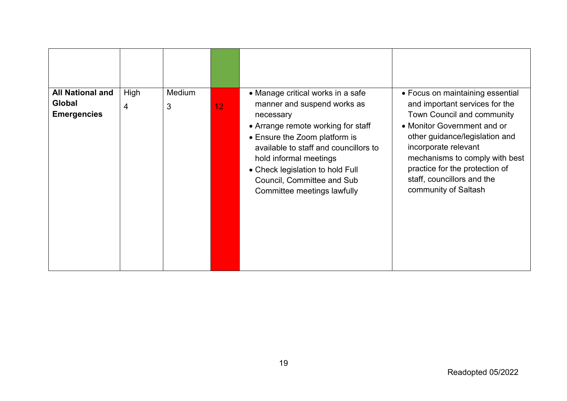| <b>All National and</b> | High | Medium | 12 <sup>2</sup> | • Manage critical works in a safe                                                                                                                                                                                                                    | • Focus on maintaining essential                                                                                                                                                                                                              |
|-------------------------|------|--------|-----------------|------------------------------------------------------------------------------------------------------------------------------------------------------------------------------------------------------------------------------------------------------|-----------------------------------------------------------------------------------------------------------------------------------------------------------------------------------------------------------------------------------------------|
| Global                  | 4    | 3      |                 | manner and suspend works as                                                                                                                                                                                                                          | and important services for the                                                                                                                                                                                                                |
| <b>Emergencies</b>      |      |        |                 | necessary<br>• Arrange remote working for staff<br>• Ensure the Zoom platform is<br>available to staff and councillors to<br>hold informal meetings<br>• Check legislation to hold Full<br>Council, Committee and Sub<br>Committee meetings lawfully | Town Council and community<br>• Monitor Government and or<br>other guidance/legislation and<br>incorporate relevant<br>mechanisms to comply with best<br>practice for the protection of<br>staff, councillors and the<br>community of Saltash |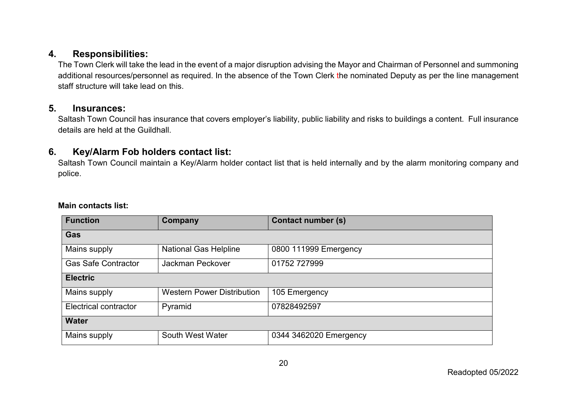#### **4. Responsibilities:**

The Town Clerk will take the lead in the event of a major disruption advising the Mayor and Chairman of Personnel and summoning additional resources/personnel as required. In the absence of the Town Clerk the nominated Deputy as per the line management staff structure will take lead on this.

#### **5. Insurances:**

Saltash Town Council has insurance that covers employer's liability, public liability and risks to buildings a content. Full insurance details are held at the Guildhall.

#### **6. Key/Alarm Fob holders contact list:**

Saltash Town Council maintain a Key/Alarm holder contact list that is held internally and by the alarm monitoring company and police.

#### **Main contacts list:**

<span id="page-19-2"></span><span id="page-19-1"></span><span id="page-19-0"></span>

| <b>Function</b>              | <b>Company</b>                    | <b>Contact number (s)</b> |  |  |
|------------------------------|-----------------------------------|---------------------------|--|--|
| Gas                          |                                   |                           |  |  |
| <b>Mains supply</b>          | <b>National Gas Helpline</b>      | 0800 111999 Emergency     |  |  |
| <b>Gas Safe Contractor</b>   | Jackman Peckover                  | 01752 727999              |  |  |
| <b>Electric</b>              |                                   |                           |  |  |
| Mains supply                 | <b>Western Power Distribution</b> | 105 Emergency             |  |  |
| <b>Electrical contractor</b> | Pyramid                           | 07828492597               |  |  |
| <b>Water</b>                 |                                   |                           |  |  |
| Mains supply                 | South West Water                  | 0344 3462020 Emergency    |  |  |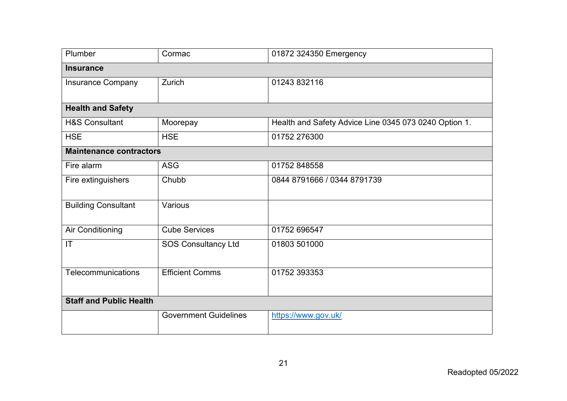| <b>Plumber</b>                 | Cormac                       | 01872 324350 Emergency                                |  |
|--------------------------------|------------------------------|-------------------------------------------------------|--|
| <b>Insurance</b>               |                              |                                                       |  |
| <b>Insurance Company</b>       | Zurich                       | 01243 832116                                          |  |
|                                |                              |                                                       |  |
| <b>Health and Safety</b>       |                              |                                                       |  |
| <b>H&amp;S Consultant</b>      | Moorepay                     | Health and Safety Advice Line 0345 073 0240 Option 1. |  |
| <b>HSE</b>                     | <b>HSE</b>                   | 01752 276300                                          |  |
| <b>Maintenance contractors</b> |                              |                                                       |  |
| Fire alarm                     | <b>ASG</b>                   | 01752 848558                                          |  |
| Fire extinguishers             | Chubb                        | 0844 8791666 / 0344 8791739                           |  |
|                                |                              |                                                       |  |
| <b>Building Consultant</b>     | Various                      |                                                       |  |
| Air Conditioning               | <b>Cube Services</b>         | 01752 696547                                          |  |
| IT                             | <b>SOS Consultancy Ltd</b>   | 01803 501000                                          |  |
|                                |                              |                                                       |  |
| Telecommunications             | <b>Efficient Comms</b>       | 01752 393353                                          |  |
|                                |                              |                                                       |  |
| <b>Staff and Public Health</b> |                              |                                                       |  |
|                                | <b>Government Guidelines</b> | https://www.gov.uk/                                   |  |
|                                |                              |                                                       |  |